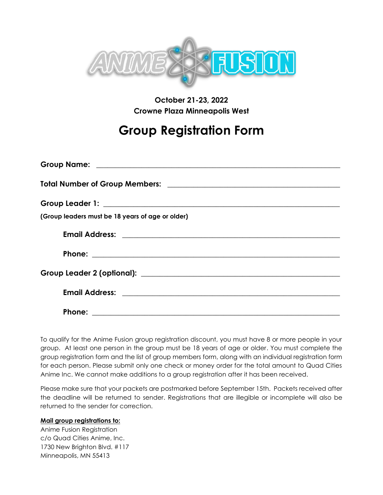

## **October 21-23, 2022 Crowne Plaza Minneapolis West**

## **Group Registration Form**

| (Group leaders must be 18 years of age or older)                             |
|------------------------------------------------------------------------------|
|                                                                              |
|                                                                              |
|                                                                              |
|                                                                              |
| <b>Phone:</b><br><u> 1989 - Andrea Stadt Britain, amerikansk politiker (</u> |

To qualify for the Anime Fusion group registration discount, you must have 8 or more people in your group. At least one person in the group must be 18 years of age or older. You must complete the group registration form and the list of group members form, along with an individual registration form for each person. Please submit only one check or money order for the total amount to Quad Cities Anime Inc. We cannot make additions to a group registration after it has been received.

Please make sure that your packets are postmarked before September 15th. Packets received after the deadline will be returned to sender. Registrations that are illegible or incomplete will also be returned to the sender for correction.

## **Mail group registrations to:**

Anime Fusion Registration c/o Quad Cities Anime, Inc. 1730 New Brighton Blvd. #117 Minneapolis, MN 55413